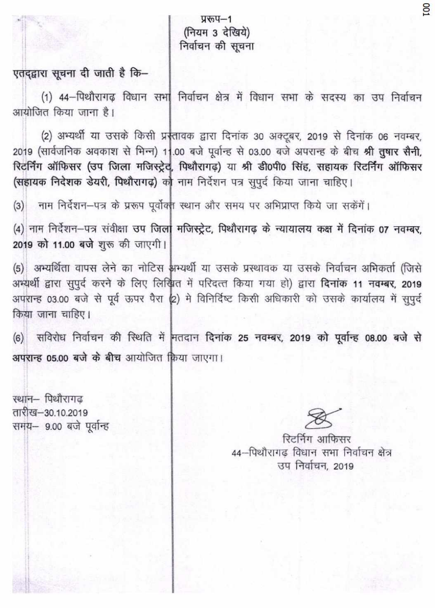प्ररूप-1 (नियम 3 देखिये) निर्वाचन की सचना

## एतदद्वारा सूचना दी जाती है कि-

(1) 44-पिथौरागढ़ विधान सभा निर्वाचन क्षेत्र में विधान सभा के सदस्य का उप निर्वाचन आयोजित किया जाना है।

(2) अभ्यर्थी या उसके किसी प्रस्तावक द्वारा दिनांक 30 अक्टूबर, 2019 से दिनांक 06 नवम्बर, 2019 (सार्वजनिक अवकाश से भिन्न) 11.00 बजे पूर्वान्ह से 03.00 बजे अपरान्ह के बीच श्री तुषार सैनी, रिटर्निंग ऑफिसर (उप जिला मजिस्ट्रेट, पिथौरागढ) या श्री डी0पी0 सिंह, सहायक रिटर्निंग ऑफिसर (सहायक निदेशक डेयरी, पिथौरागढ़) को नाम निर्देशन पत्र सुपूर्द किया जाना चाहिए।

नाम निर्देशन-पत्र के प्ररूप पूर्वोक्त स्थान और समय पर अभिप्राप्त किये जा सकेंगें।  $(3)$ 

(4) नाम निर्देशन-पत्र संवीक्षा उप जिला मजिस्ट्रेट, पिथौरागढ़ के न्यायालय कक्ष में दिनांक 07 नवम्बर, 2019 को 11.00 बजे शुरू की जाएगी।

(5) अभ्यर्थिता वापस लेने का नोटिस अभ्यर्थी या उसके प्रस्थावक या उसके निर्वाचन अभिकर्ता (जिसे अभ्यर्थी द्वारा सुपूर्द करने के लिए लिखित में परिदत्त किया गया हो) द्वारा दिनांक 11 नवम्बर, 2019 अपरान्ह 03.00 बजे से पूर्व ऊपर पैरा (2) मे विनिर्दिष्ट किसी अधिकारी को उसके कार्यालय में सुपूर्द किया जाना चाहिए।

(6) सविरोध निर्वाचन की स्थिति में मतदान दिनांक 25 नवम्बर, 2019 को पूर्वान्ह 08.00 बजे से अपरान्ह 05.00 बजे के बीच आयोजित किया जाएगा।

स्थान– पिथौरागढ तारीख—30.10.2019 समय- 9.00 बजे पूर्वान्ह

रिटर्निंग आफिसर 44-पिथौरागढ विधान सभा निर्वाचन क्षेत्र उप निर्वाचन, 2019